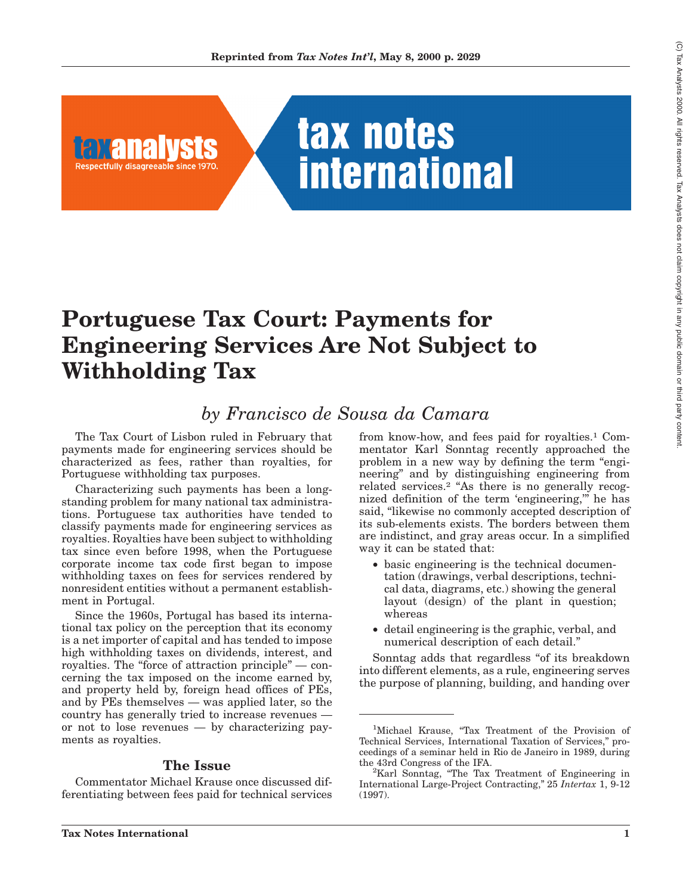

# **Portuguese Tax Court: Payments for Engineering Services Are Not Subject to Withholding Tax**

# *by Francisco de Sousa da Camara*

The Tax Court of Lisbon ruled in February that payments made for engineering services should be characterized as fees, rather than royalties, for Portuguese withholding tax purposes.

Characterizing such payments has been a longstanding problem for many national tax administrations. Portuguese tax authorities have tended to classify payments made for engineering services as royalties. Royalties have been subject to withholding tax since even before 1998, when the Portuguese corporate income tax code first began to impose withholding taxes on fees for services rendered by nonresident entities without a permanent establishment in Portugal.

Since the 1960s, Portugal has based its international tax policy on the perception that its economy is a net importer of capital and has tended to impose high withholding taxes on dividends, interest, and royalties. The "force of attraction principle" — concerning the tax imposed on the income earned by, and property held by, foreign head offices of PEs, and by PEs themselves — was applied later, so the country has generally tried to increase revenues or not to lose revenues — by characterizing payments as royalties.

#### **The Issue**

Commentator Michael Krause once discussed differentiating between fees paid for technical services from know-how, and fees paid for royalties.1 Commentator Karl Sonntag recently approached the problem in a new way by defining the term ''engineering'' and by distinguishing engineering from related services.<sup>2</sup> "As there is no generally recognized definition of the term 'engineering,''' he has said, "likewise no commonly accepted description of its sub-elements exists. The borders between them are indistinct, and gray areas occur. In a simplified way it can be stated that:

- basic engineering is the technical documentation (drawings, verbal descriptions, technical data, diagrams, etc.) showing the general layout (design) of the plant in question; whereas
- detail engineering is the graphic, verbal, and numerical description of each detail.''

Sonntag adds that regardless "of its breakdown" into different elements, as a rule, engineering serves the purpose of planning, building, and handing over

<sup>&</sup>lt;sup>1</sup>Michael Krause, "Tax Treatment of the Provision of Technical Services, International Taxation of Services,'' proceedings of a seminar held in Rio de Janeiro in 1989, during the 43rd Congress of the IFA.

<sup>&</sup>lt;sup>2</sup>Karl Sonntag, "The Tax Treatment of Engineering in International Large-Project Contracting,'' 25 *Intertax* 1, 9-12 (1997).